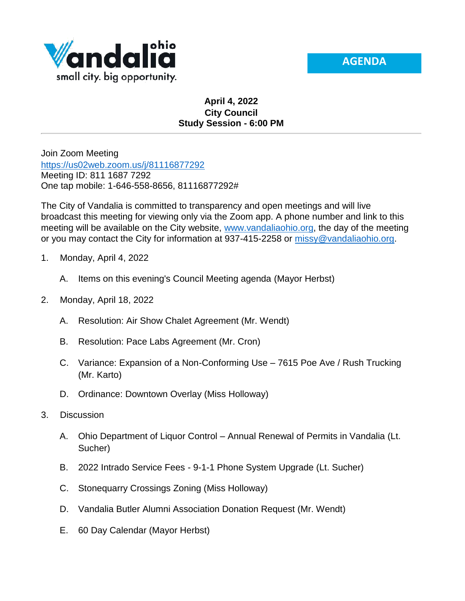



## **April 4, 2022 City Council Study Session - 6:00 PM**

Join Zoom Meeting <https://us02web.zoom.us/j/81116877292> Meeting ID: 811 1687 7292 One tap mobile: 1-646-558-8656, 81116877292#

The City of Vandalia is committed to transparency and open meetings and will live broadcast this meeting for viewing only via the Zoom app. A phone number and link to this meeting will be available on the City website, [www.vandaliaohio.org,](http://www.vandaliaohio.org/) the day of the meeting or you may contact the City for information at 937-415-2258 or [missy@vandaliaohio.org.](mailto:missy@vandaliaohio.org)

- 1. Monday, April 4, 2022
	- A. Items on this evening's Council Meeting agenda (Mayor Herbst)
- 2. Monday, April 18, 2022
	- A. Resolution: Air Show Chalet Agreement (Mr. Wendt)
	- B. Resolution: Pace Labs Agreement (Mr. Cron)
	- C. Variance: Expansion of a Non-Conforming Use 7615 Poe Ave / Rush Trucking (Mr. Karto)
	- D. Ordinance: Downtown Overlay (Miss Holloway)
- 3. Discussion
	- A. Ohio Department of Liquor Control Annual Renewal of Permits in Vandalia (Lt. Sucher)
	- B. 2022 Intrado Service Fees 9-1-1 Phone System Upgrade (Lt. Sucher)
	- C. Stonequarry Crossings Zoning (Miss Holloway)
	- D. Vandalia Butler Alumni Association Donation Request (Mr. Wendt)
	- E. 60 Day Calendar (Mayor Herbst)